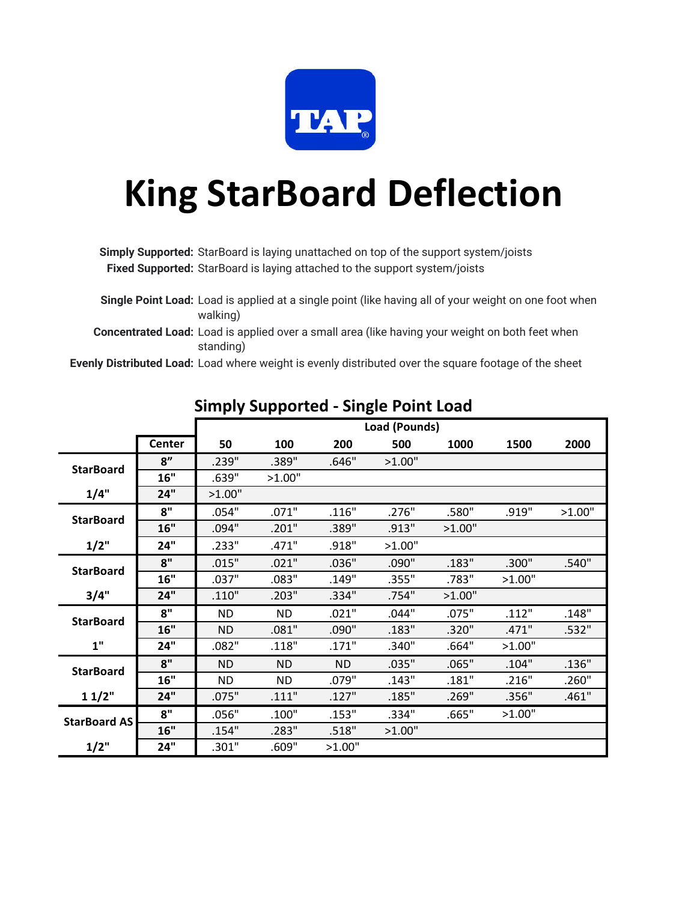

# **King StarBoard Deflection**

**Simply Supported:** StarBoard is laying unattached on top of the support system/joists **Fixed Supported:** StarBoard is laying attached to the support system/joists

**Single Point Load:** Load is applied at a single point (like having all of your weight on one foot when walking)

**Concentrated Load:** Load is applied over a small area (like having your weight on both feet when standing)

**Evenly Distributed Load:** Load where weight is evenly distributed over the square footage of the sheet

|                     |               |           |           |           | Load (Pounds) |        |        |        |
|---------------------|---------------|-----------|-----------|-----------|---------------|--------|--------|--------|
|                     | <b>Center</b> | 50        | 100       | 200       | 500           | 1000   | 1500   | 2000   |
| <b>StarBoard</b>    | 8"            | .239"     | .389"     | .646"     | >1.00"        |        |        |        |
|                     | 16"           | .639"     | >1.00"    |           |               |        |        |        |
| 1/4"                | 24"           | >1.00"    |           |           |               |        |        |        |
| <b>StarBoard</b>    | 8"            | .054"     | .071"     | .116"     | .276"         | .580"  | .919"  | >1.00" |
|                     | 16"           | .094"     | .201"     | .389"     | .913"         | >1.00" |        |        |
| 1/2"                | 24"           | .233"     | .471"     | .918"     | >1.00"        |        |        |        |
| <b>StarBoard</b>    | 8"            | .015"     | .021"     | .036"     | .090"         | .183"  | .300"  | .540"  |
|                     | 16"           | .037"     | .083"     | .149"     | .355"         | .783"  | >1.00" |        |
| 3/4"                | 24"           | .110"     | .203"     | .334"     | .754"         | >1.00" |        |        |
| <b>StarBoard</b>    | 8"            | ND.       | ND.       | .021"     | .044"         | .075"  | .112"  | .148"  |
|                     | 16"           | <b>ND</b> | .081"     | .090"     | .183"         | .320"  | .471"  | .532"  |
| 1"                  | 24"           | .082"     | .118"     | .171"     | .340"         | .664"  | >1.00" |        |
| <b>StarBoard</b>    | 8"            | <b>ND</b> | <b>ND</b> | <b>ND</b> | .035"         | .065"  | .104"  | .136"  |
|                     | 16"           | <b>ND</b> | <b>ND</b> | .079"     | .143"         | .181"  | .216"  | .260"  |
| 11/2"               | 24"           | .075"     | .111"     | .127"     | .185"         | .269"  | .356"  | .461"  |
| <b>StarBoard AS</b> | 8"            | .056"     | .100"     | .153"     | .334"         | .665"  | >1.00" |        |
|                     | 16"           | .154"     | .283"     | .518"     | >1.00"        |        |        |        |
| 1/2"                | 24"           | .301"     | .609"     | >1.00"    |               |        |        |        |

#### **Simply Supported - Single Point Load**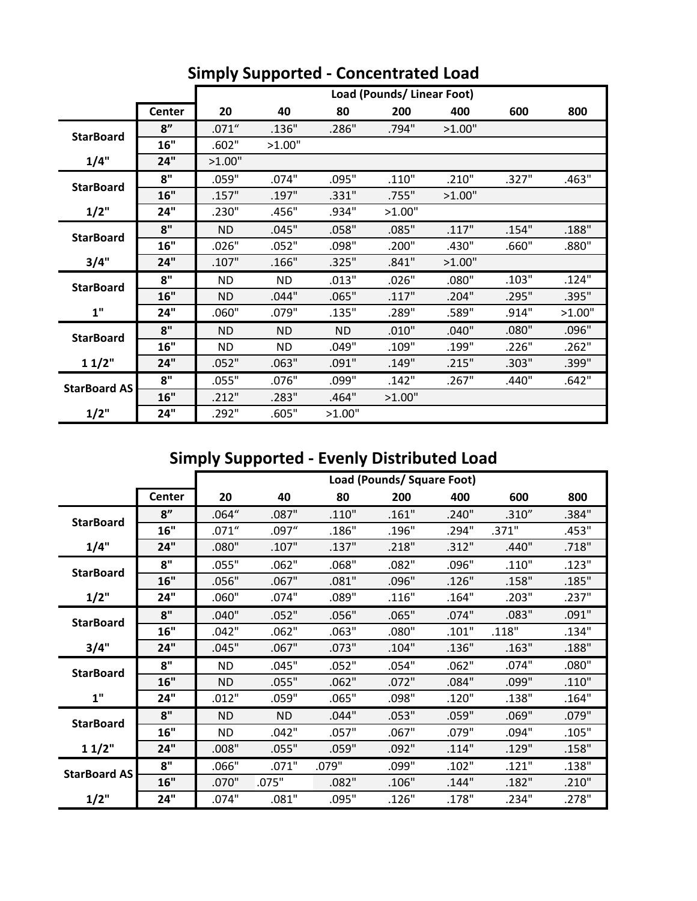|                     |               |           | Load (Pounds/Linear Foot) |           |        |        |       |        |  |
|---------------------|---------------|-----------|---------------------------|-----------|--------|--------|-------|--------|--|
|                     | <b>Center</b> | 20        | 40                        | 80        | 200    | 400    | 600   | 800    |  |
|                     | 8"            | .071''    | .136"                     | .286"     | .794"  | >1.00" |       |        |  |
| <b>StarBoard</b>    | 16"           | .602"     | >1.00"                    |           |        |        |       |        |  |
| 1/4"                | 24"           | >1.00"    |                           |           |        |        |       |        |  |
| <b>StarBoard</b>    | 8"            | .059"     | .074"                     | .095"     | .110"  | .210"  | .327" | .463"  |  |
|                     | 16"           | .157"     | .197"                     | .331"     | .755"  | >1.00" |       |        |  |
| 1/2"                | 24"           | .230"     | .456"                     | .934"     | >1.00" |        |       |        |  |
| <b>StarBoard</b>    | 8"            | <b>ND</b> | .045"                     | .058"     | .085"  | .117"  | .154" | .188"  |  |
|                     | 16"           | .026"     | .052"                     | .098"     | .200"  | .430"  | .660" | .880"  |  |
| 3/4"                | 24"           | .107"     | .166"                     | .325"     | .841"  | >1.00" |       |        |  |
| <b>StarBoard</b>    | 8"            | <b>ND</b> | <b>ND</b>                 | .013"     | .026"  | .080"  | .103" | .124"  |  |
|                     | 16"           | <b>ND</b> | .044"                     | .065"     | .117"  | .204"  | .295" | .395"  |  |
| 1"                  | 24"           | .060"     | .079"                     | .135"     | .289"  | .589"  | .914" | >1.00" |  |
| <b>StarBoard</b>    | 8"            | <b>ND</b> | <b>ND</b>                 | <b>ND</b> | .010"  | .040"  | .080" | .096"  |  |
|                     | 16"           | <b>ND</b> | <b>ND</b>                 | .049"     | .109"  | .199"  | .226" | .262"  |  |
| 11/2"               | 24"           | .052"     | .063"                     | .091"     | .149"  | .215"  | .303" | .399"  |  |
| <b>StarBoard AS</b> | 8"            | .055"     | .076"                     | .099"     | .142"  | .267"  | .440" | .642"  |  |
|                     | 16"           | .212"     | .283"                     | .464"     | >1.00" |        |       |        |  |
| 1/2"                | 24"           | .292"     | .605"                     | >1.00"    |        |        |       |        |  |

### **Simply Supported - Concentrated Load**

# **Simply Supported - Evenly Distributed Load**

|                     |               | Load (Pounds/ Square Foot) |           |       |       |       |        |       |
|---------------------|---------------|----------------------------|-----------|-------|-------|-------|--------|-------|
|                     | <b>Center</b> | 20                         | 40        | 80    | 200   | 400   | 600    | 800   |
|                     | 8"            | .064''                     | .087"     | .110" | .161" | .240" | .310'' | .384" |
| <b>StarBoard</b>    | 16"           | .071''                     | .097''    | .186" | .196" | .294" | .371"  | .453" |
| 1/4"                | 24"           | .080"                      | .107"     | .137" | .218" | .312" | .440"  | .718" |
| <b>StarBoard</b>    | 8"            | .055"                      | .062"     | .068" | .082" | .096" | .110"  | .123" |
|                     | 16"           | .056"                      | .067"     | .081" | .096" | .126" | .158"  | .185" |
| 1/2"                | 24"           | .060"                      | .074"     | .089" | .116" | .164" | .203"  | .237" |
| <b>StarBoard</b>    | 8"            | .040"                      | .052"     | .056" | .065" | .074" | .083"  | .091" |
|                     | 16"           | .042"                      | .062"     | .063" | .080" | .101" | .118"  | .134" |
| 3/4"                | 24"           | .045"                      | .067"     | .073" | .104" | .136" | .163"  | .188" |
| <b>StarBoard</b>    | 8"            | <b>ND</b>                  | .045"     | .052" | .054" | .062" | .074"  | .080" |
|                     | 16"           | <b>ND</b>                  | .055"     | .062" | .072" | .084" | .099"  | .110" |
| 1"                  | 24"           | .012"                      | .059"     | .065" | .098" | .120" | .138"  | .164" |
| <b>StarBoard</b>    | 8"            | <b>ND</b>                  | <b>ND</b> | .044" | .053" | .059" | .069"  | .079" |
|                     | 16"           | <b>ND</b>                  | .042"     | .057" | .067" | .079" | .094"  | .105" |
| 11/2"               | 24"           | .008"                      | .055"     | .059" | .092" | .114" | .129"  | .158" |
| <b>StarBoard AS</b> | 8"            | .066"                      | .071"     | .079" | .099" | .102" | .121"  | .138" |
|                     | 16"           | .070"                      | .075"     | .082" | .106" | .144" | .182"  | .210" |
| 1/2"                | 24"           | .074"                      | .081"     | .095" | .126" | .178" | .234"  | .278" |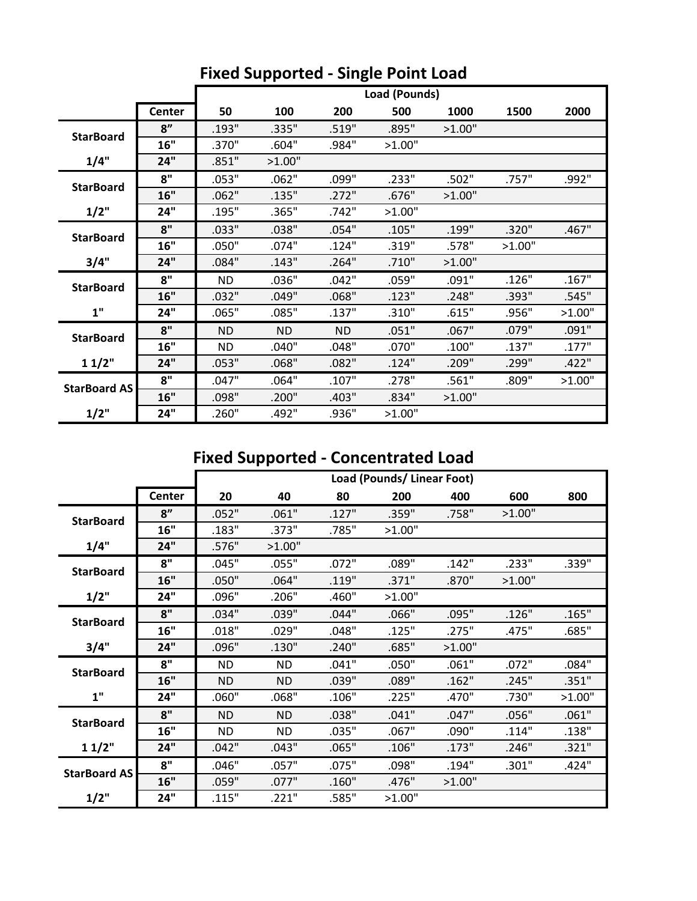|                     |        | Load (Pounds) |           |           |        |        |        |        |
|---------------------|--------|---------------|-----------|-----------|--------|--------|--------|--------|
|                     | Center | 50            | 100       | 200       | 500    | 1000   | 1500   | 2000   |
| <b>StarBoard</b>    | 8"     | .193"         | .335"     | .519"     | .895"  | >1.00" |        |        |
|                     | 16"    | .370"         | .604"     | .984"     | >1.00" |        |        |        |
| 1/4"                | 24"    | .851"         | >1.00"    |           |        |        |        |        |
| <b>StarBoard</b>    | 8"     | .053"         | .062"     | .099"     | .233"  | .502"  | .757"  | .992"  |
|                     | 16"    | .062"         | .135"     | .272"     | .676"  | >1.00" |        |        |
| 1/2"                | 24"    | .195"         | .365"     | .742"     | >1.00" |        |        |        |
| <b>StarBoard</b>    | 8"     | .033"         | .038"     | .054"     | .105"  | .199"  | .320"  | .467"  |
|                     | 16"    | .050"         | .074"     | .124"     | .319"  | .578"  | >1.00" |        |
| 3/4"                | 24"    | .084"         | .143"     | .264"     | .710"  | >1.00" |        |        |
| <b>StarBoard</b>    | 8"     | ND.           | .036"     | .042"     | .059"  | .091"  | .126"  | .167"  |
|                     | 16"    | .032"         | .049"     | .068"     | .123"  | .248"  | .393"  | .545"  |
| 1"                  | 24"    | .065"         | .085"     | .137"     | .310"  | .615"  | .956"  | >1.00" |
| <b>StarBoard</b>    | 8"     | <b>ND</b>     | <b>ND</b> | <b>ND</b> | .051"  | .067"  | .079"  | .091"  |
|                     | 16"    | <b>ND</b>     | .040"     | .048"     | .070"  | .100"  | .137"  | .177"  |
| 11/2"               | 24"    | .053"         | .068"     | .082"     | .124"  | .209"  | .299"  | .422"  |
| <b>StarBoard AS</b> | 8"     | .047"         | .064"     | .107"     | .278"  | .561"  | .809"  | >1.00" |
|                     | 16"    | .098"         | .200"     | .403"     | .834"  | >1.00" |        |        |
| 1/2"                | 24"    | .260"         | .492"     | .936"     | >1.00" |        |        |        |

#### **Fixed Supported - Single Point Load**

#### **Fixed Supported - Concentrated Load**

|                     |               | Load (Pounds/Linear Foot) |           |       |        |        |        |        |
|---------------------|---------------|---------------------------|-----------|-------|--------|--------|--------|--------|
|                     | <b>Center</b> | 20                        | 40        | 80    | 200    | 400    | 600    | 800    |
| <b>StarBoard</b>    | 8"            | .052"                     | .061"     | .127" | .359"  | .758"  | >1.00" |        |
|                     | 16"           | .183"                     | .373"     | .785" | >1.00" |        |        |        |
| 1/4"                | 24"           | .576"                     | >1.00"    |       |        |        |        |        |
| <b>StarBoard</b>    | 8"            | .045"                     | .055"     | .072" | .089"  | .142"  | .233"  | .339"  |
|                     | 16"           | .050"                     | .064"     | .119" | .371"  | .870"  | >1.00" |        |
| 1/2"                | 24"           | .096"                     | .206"     | .460" | >1.00" |        |        |        |
| <b>StarBoard</b>    | 8"            | .034"                     | .039"     | .044" | .066"  | .095"  | .126"  | .165"  |
|                     | 16"           | .018"                     | .029"     | .048" | .125"  | .275"  | .475"  | .685"  |
| 3/4"                | 24"           | .096"                     | .130"     | .240" | .685"  | >1.00" |        |        |
| <b>StarBoard</b>    | 8"            | <b>ND</b>                 | <b>ND</b> | .041" | .050"  | .061"  | .072"  | .084"  |
|                     | 16"           | ND.                       | <b>ND</b> | .039" | .089"  | .162"  | .245"  | .351"  |
| 1"                  | 24"           | .060"                     | .068"     | .106" | .225"  | .470"  | .730"  | >1.00" |
| <b>StarBoard</b>    | 8"            | <b>ND</b>                 | <b>ND</b> | .038" | .041"  | .047"  | .056"  | .061"  |
|                     | 16"           | <b>ND</b>                 | <b>ND</b> | .035" | .067"  | .090"  | .114"  | .138"  |
| 11/2"               | 24"           | .042"                     | .043"     | .065" | .106"  | .173"  | .246"  | .321"  |
| <b>StarBoard AS</b> | 8"            | .046"                     | .057"     | .075" | .098"  | .194"  | .301"  | .424"  |
|                     | 16"           | .059"                     | .077"     | .160" | .476"  | >1.00" |        |        |
| 1/2"                | 24"           | .115"                     | .221"     | .585" | >1.00" |        |        |        |